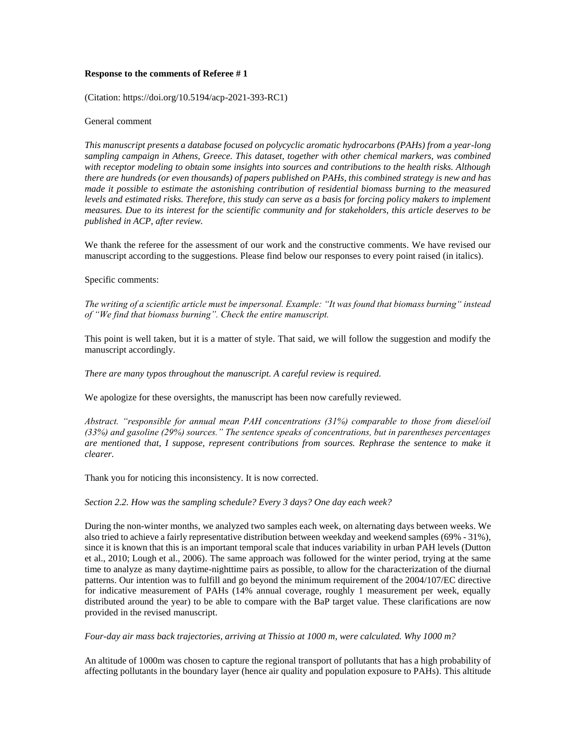### **Response to the comments of Referee # 1**

(Citation: https://doi.org/10.5194/acp-2021-393-RC1)

### General comment

*This manuscript presents a database focused on polycyclic aromatic hydrocarbons (PAHs) from a year-long sampling campaign in Athens, Greece. This dataset, together with other chemical markers, was combined with receptor modeling to obtain some insights into sources and contributions to the health risks. Although there are hundreds (or even thousands) of papers published on PAHs, this combined strategy is new and has made it possible to estimate the astonishing contribution of residential biomass burning to the measured levels and estimated risks. Therefore, this study can serve as a basis for forcing policy makers to implement measures. Due to its interest for the scientific community and for stakeholders, this article deserves to be published in ACP, after review.*

We thank the referee for the assessment of our work and the constructive comments. We have revised our manuscript according to the suggestions. Please find below our responses to every point raised (in italics).

#### Specific comments:

*The writing of a scientific article must be impersonal. Example: "It was found that biomass burning" instead of "We find that biomass burning". Check the entire manuscript.*

This point is well taken, but it is a matter of style. That said, we will follow the suggestion and modify the manuscript accordingly.

*There are many typos throughout the manuscript. A careful review is required.*

We apologize for these oversights, the manuscript has been now carefully reviewed.

*Abstract. "responsible for annual mean PAH concentrations (31%) comparable to those from diesel/oil (33%) and gasoline (29%) sources." The sentence speaks of concentrations, but in parentheses percentages are mentioned that, I suppose, represent contributions from sources. Rephrase the sentence to make it clearer.*

Thank you for noticing this inconsistency. It is now corrected.

# *Section 2.2. How was the sampling schedule? Every 3 days? One day each week?*

During the non-winter months, we analyzed two samples each week, on alternating days between weeks. We also tried to achieve a fairly representative distribution between weekday and weekend samples (69% - 31%), since it is known that this is an important temporal scale that induces variability in urban PAH levels (Dutton et al., 2010; Lough et al., 2006). The same approach was followed for the winter period, trying at the same time to analyze as many daytime-nighttime pairs as possible, to allow for the characterization of the diurnal patterns. Our intention was to fulfill and go beyond the minimum requirement of the 2004/107/EC directive for indicative measurement of PAHs (14% annual coverage, roughly 1 measurement per week, equally distributed around the year) to be able to compare with the BaP target value. These clarifications are now provided in the revised manuscript.

*Four-day air mass back trajectories, arriving at Thissio at 1000 m, were calculated. Why 1000 m?* 

An altitude of 1000m was chosen to capture the regional transport of pollutants that has a high probability of affecting pollutants in the boundary layer (hence air quality and population exposure to PAHs). This altitude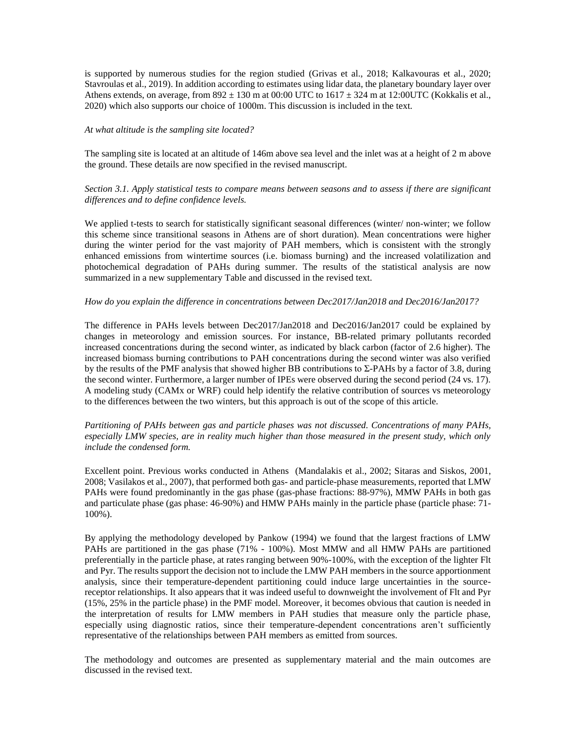is supported by numerous studies for the region studied (Grivas et al., 2018; Kalkavouras et al., 2020; Stavroulas et al., 2019). In addition according to estimates using lidar data, the planetary boundary layer over Athens extends, on average, from  $892 \pm 130$  m at 00:00 UTC to  $1617 \pm 324$  m at 12:00 UTC (Kokkalis et al., 2020) which also supports our choice of 1000m. This discussion is included in the text.

### *At what altitude is the sampling site located?*

The sampling site is located at an altitude of 146m above sea level and the inlet was at a height of 2 m above the ground. These details are now specified in the revised manuscript.

## *Section 3.1. Apply statistical tests to compare means between seasons and to assess if there are significant differences and to define confidence levels.*

We applied t-tests to search for statistically significant seasonal differences (winter/ non-winter; we follow this scheme since transitional seasons in Athens are of short duration). Mean concentrations were higher during the winter period for the vast majority of PAH members, which is consistent with the strongly enhanced emissions from wintertime sources (i.e. biomass burning) and the increased volatilization and photochemical degradation of PAHs during summer. The results of the statistical analysis are now summarized in a new supplementary Table and discussed in the revised text.

### *How do you explain the difference in concentrations between Dec2017/Jan2018 and Dec2016/Jan2017?*

The difference in PAHs levels between Dec2017/Jan2018 and Dec2016/Jan2017 could be explained by changes in meteorology and emission sources. For instance, BB-related primary pollutants recorded increased concentrations during the second winter, as indicated by black carbon (factor of 2.6 higher). The increased biomass burning contributions to PAH concentrations during the second winter was also verified by the results of the PMF analysis that showed higher BB contributions to Σ-PAHs by a factor of 3.8, during the second winter. Furthermore, a larger number of IPEs were observed during the second period (24 vs. 17). A modeling study (CAMx or WRF) could help identify the relative contribution of sources vs meteorology to the differences between the two winters, but this approach is out of the scope of this article.

## *Partitioning of PAHs between gas and particle phases was not discussed. Concentrations of many PAHs, especially LMW species, are in reality much higher than those measured in the present study, which only include the condensed form.*

Excellent point. Previous works conducted in Athens (Mandalakis et al., 2002; Sitaras and Siskos, 2001, 2008; Vasilakos et al., 2007), that performed both gas- and particle-phase measurements, reported that LMW PAHs were found predominantly in the gas phase (gas-phase fractions: 88-97%), MMW PAHs in both gas and particulate phase (gas phase: 46-90%) and HMW PAHs mainly in the particle phase (particle phase: 71- 100%).

By applying the methodology developed by Pankow (1994) we found that the largest fractions of LMW PAHs are partitioned in the gas phase (71% - 100%). Most MMW and all HMW PAHs are partitioned preferentially in the particle phase, at rates ranging between 90%-100%, with the exception of the lighter Flt and Pyr. The results support the decision not to include the LMW PAH members in the source apportionment analysis, since their temperature-dependent partitioning could induce large uncertainties in the sourcereceptor relationships. It also appears that it was indeed useful to downweight the involvement of Flt and Pyr (15%, 25% in the particle phase) in the PMF model. Moreover, it becomes obvious that caution is needed in the interpretation of results for LMW members in PAH studies that measure only the particle phase, especially using diagnostic ratios, since their temperature-dependent concentrations aren't sufficiently representative of the relationships between PAH members as emitted from sources.

The methodology and outcomes are presented as supplementary material and the main outcomes are discussed in the revised text.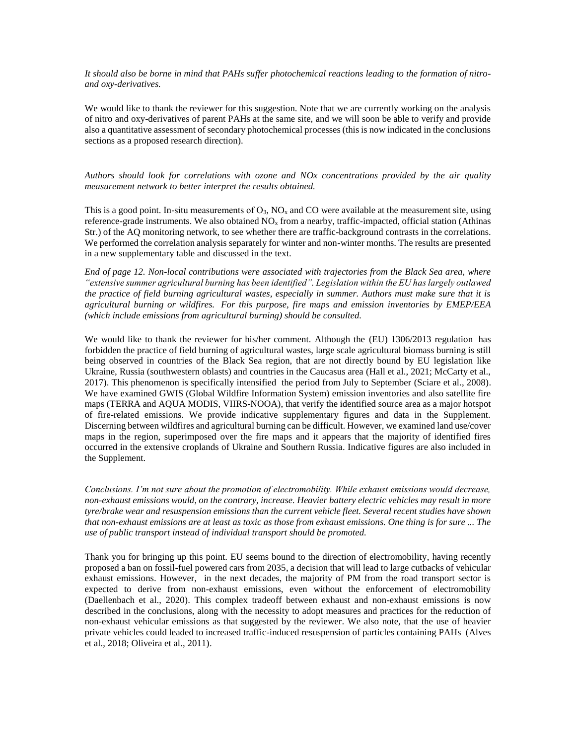*It should also be borne in mind that PAHs suffer photochemical reactions leading to the formation of nitroand oxy-derivatives.* 

We would like to thank the reviewer for this suggestion. Note that we are currently working on the analysis of nitro and oxy-derivatives of parent PAHs at the same site, and we will soon be able to verify and provide also a quantitative assessment of secondary photochemical processes (this is now indicated in the conclusions sections as a proposed research direction).

*Authors should look for correlations with ozone and NOx concentrations provided by the air quality measurement network to better interpret the results obtained.*

This is a good point. In-situ measurements of  $O_3$ ,  $NO_x$  and CO were available at the measurement site, using reference-grade instruments. We also obtained  $NO<sub>x</sub>$  from a nearby, traffic-impacted, official station (Athinas Str.) of the AQ monitoring network, to see whether there are traffic-background contrasts in the correlations. We performed the correlation analysis separately for winter and non-winter months. The results are presented in a new supplementary table and discussed in the text.

*End of page 12. Non-local contributions were associated with trajectories from the Black Sea area, where "extensive summer agricultural burning has been identified". Legislation within the EU has largely outlawed the practice of field burning agricultural wastes, especially in summer. Authors must make sure that it is agricultural burning or wildfires. For this purpose, fire maps and emission inventories by EMEP/EEA (which include emissions from agricultural burning) should be consulted.*

We would like to thank the reviewer for his/her comment. Although the (EU) 1306/2013 regulation has forbidden the practice of field burning of agricultural wastes, large scale agricultural biomass burning is still being observed in countries of the Black Sea region, that are not directly bound by EU legislation like Ukraine, Russia (southwestern oblasts) and countries in the Caucasus area (Hall et al., 2021; McCarty et al., 2017). This phenomenon is specifically intensified the period from July to September (Sciare et al., 2008). We have examined GWIS (Global Wildfire Information System) emission inventories and also satellite fire maps (TERRA and AQUA MODIS, VIIRS-NOOA), that verify the identified source area as a major hotspot of fire-related emissions. We provide indicative supplementary figures and data in the Supplement. Discerning between wildfires and agricultural burning can be difficult. However, we examined land use/cover maps in the region, superimposed over the fire maps and it appears that the majority of identified fires occurred in the extensive croplands of Ukraine and Southern Russia. Indicative figures are also included in the Supplement.

*Conclusions. I'm not sure about the promotion of electromobility. While exhaust emissions would decrease, non-exhaust emissions would, on the contrary, increase. Heavier battery electric vehicles may result in more tyre/brake wear and resuspension emissions than the current vehicle fleet. Several recent studies have shown that non-exhaust emissions are at least as toxic as those from exhaust emissions. One thing is for sure ... The use of public transport instead of individual transport should be promoted.*

Thank you for bringing up this point. EU seems bound to the direction of electromobility, having recently proposed a ban on fossil-fuel powered cars from 2035, a decision that will lead to large cutbacks of vehicular exhaust emissions. However, in the next decades, the majority of PM from the road transport sector is expected to derive from non-exhaust emissions, even without the enforcement of electromobility (Daellenbach et al., 2020). This complex tradeoff between exhaust and non-exhaust emissions is now described in the conclusions, along with the necessity to adopt measures and practices for the reduction of non-exhaust vehicular emissions as that suggested by the reviewer. We also note, that the use of heavier private vehicles could leaded to increased traffic-induced resuspension of particles containing PAHs (Alves et al., 2018; Oliveira et al., 2011).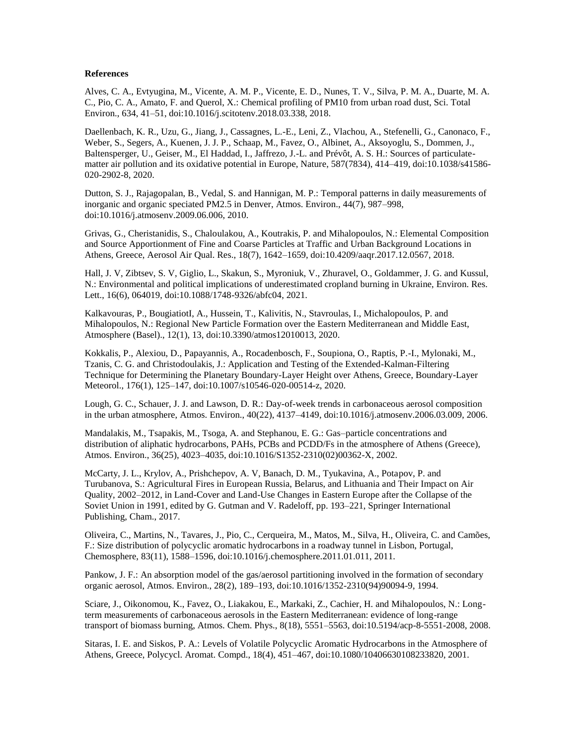#### **References**

Alves, C. A., Evtyugina, M., Vicente, A. M. P., Vicente, E. D., Nunes, T. V., Silva, P. M. A., Duarte, M. A. C., Pio, C. A., Amato, F. and Querol, X.: Chemical profiling of PM10 from urban road dust, Sci. Total Environ., 634, 41–51, doi:10.1016/j.scitotenv.2018.03.338, 2018.

Daellenbach, K. R., Uzu, G., Jiang, J., Cassagnes, L.-E., Leni, Z., Vlachou, A., Stefenelli, G., Canonaco, F., Weber, S., Segers, A., Kuenen, J. J. P., Schaap, M., Favez, O., Albinet, A., Aksoyoglu, S., Dommen, J., Baltensperger, U., Geiser, M., El Haddad, I., Jaffrezo, J.-L. and Prévôt, A. S. H.: Sources of particulatematter air pollution and its oxidative potential in Europe, Nature, 587(7834), 414–419, doi:10.1038/s41586- 020-2902-8, 2020.

Dutton, S. J., Rajagopalan, B., Vedal, S. and Hannigan, M. P.: Temporal patterns in daily measurements of inorganic and organic speciated PM2.5 in Denver, Atmos. Environ., 44(7), 987–998, doi:10.1016/j.atmosenv.2009.06.006, 2010.

Grivas, G., Cheristanidis, S., Chaloulakou, A., Koutrakis, P. and Mihalopoulos, N.: Elemental Composition and Source Apportionment of Fine and Coarse Particles at Traffic and Urban Background Locations in Athens, Greece, Aerosol Air Qual. Res., 18(7), 1642–1659, doi:10.4209/aaqr.2017.12.0567, 2018.

Hall, J. V, Zibtsev, S. V, Giglio, L., Skakun, S., Myroniuk, V., Zhuravel, O., Goldammer, J. G. and Kussul, N.: Environmental and political implications of underestimated cropland burning in Ukraine, Environ. Res. Lett., 16(6), 064019, doi:10.1088/1748-9326/abfc04, 2021.

Kalkavouras, P., BougiatiotI, A., Hussein, T., Kalivitis, N., Stavroulas, I., Michalopoulos, P. and Mihalopoulos, N.: Regional New Particle Formation over the Eastern Mediterranean and Middle East, Atmosphere (Basel)., 12(1), 13, doi:10.3390/atmos12010013, 2020.

Kokkalis, P., Alexiou, D., Papayannis, A., Rocadenbosch, F., Soupiona, O., Raptis, P.-I., Mylonaki, M., Tzanis, C. G. and Christodoulakis, J.: Application and Testing of the Extended-Kalman-Filtering Technique for Determining the Planetary Boundary-Layer Height over Athens, Greece, Boundary-Layer Meteorol., 176(1), 125–147, doi:10.1007/s10546-020-00514-z, 2020.

Lough, G. C., Schauer, J. J. and Lawson, D. R.: Day-of-week trends in carbonaceous aerosol composition in the urban atmosphere, Atmos. Environ., 40(22), 4137–4149, doi:10.1016/j.atmosenv.2006.03.009, 2006.

Mandalakis, M., Tsapakis, M., Tsoga, A. and Stephanou, E. G.: Gas–particle concentrations and distribution of aliphatic hydrocarbons, PAHs, PCBs and PCDD/Fs in the atmosphere of Athens (Greece), Atmos. Environ., 36(25), 4023–4035, doi:10.1016/S1352-2310(02)00362-X, 2002.

McCarty, J. L., Krylov, A., Prishchepov, A. V, Banach, D. M., Tyukavina, A., Potapov, P. and Turubanova, S.: Agricultural Fires in European Russia, Belarus, and Lithuania and Their Impact on Air Quality, 2002–2012, in Land-Cover and Land-Use Changes in Eastern Europe after the Collapse of the Soviet Union in 1991, edited by G. Gutman and V. Radeloff, pp. 193–221, Springer International Publishing, Cham., 2017.

Oliveira, C., Martins, N., Tavares, J., Pio, C., Cerqueira, M., Matos, M., Silva, H., Oliveira, C. and Camões, F.: Size distribution of polycyclic aromatic hydrocarbons in a roadway tunnel in Lisbon, Portugal, Chemosphere, 83(11), 1588–1596, doi:10.1016/j.chemosphere.2011.01.011, 2011.

Pankow, J. F.: An absorption model of the gas/aerosol partitioning involved in the formation of secondary organic aerosol, Atmos. Environ., 28(2), 189–193, doi:10.1016/1352-2310(94)90094-9, 1994.

Sciare, J., Oikonomou, K., Favez, O., Liakakou, E., Markaki, Z., Cachier, H. and Mihalopoulos, N.: Longterm measurements of carbonaceous aerosols in the Eastern Mediterranean: evidence of long-range transport of biomass burning, Atmos. Chem. Phys., 8(18), 5551–5563, doi:10.5194/acp-8-5551-2008, 2008.

Sitaras, I. E. and Siskos, P. A.: Levels of Volatile Polycyclic Aromatic Hydrocarbons in the Atmosphere of Athens, Greece, Polycycl. Aromat. Compd., 18(4), 451–467, doi:10.1080/10406630108233820, 2001.